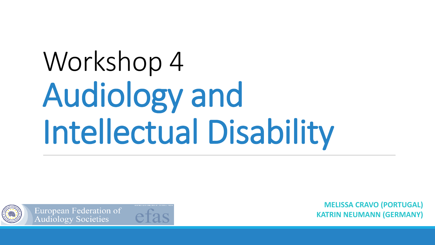# Workshop 4 Audiology and Intellectual Disability



European Federation of **Audiology Societies** 

**MELISSA CRAVO (PORTUGAL) KATRIN NEUMANN (GERMANY)**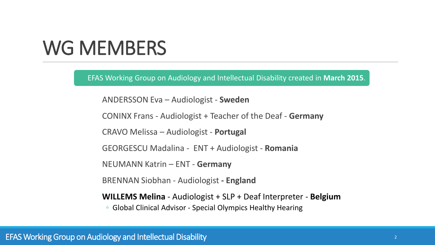### WG MEMBERS

EFAS Working Group on Audiology and Intellectual Disability created in **March 2015**.

ANDERSSON Eva – Audiologist - **Sweden**

CONINX Frans - Audiologist + Teacher of the Deaf - **Germany**

CRAVO Melissa – Audiologist - **Portugal** 

GEORGESCU Madalina - ENT + Audiologist - **Romania** 

NEUMANN Katrin – ENT - **Germany**

BRENNAN Siobhan - Audiologist **- England**

**WILLEMS Melina** - Audiologist + SLP + Deaf Interpreter - **Belgium**

◦ Global Clinical Advisor - Special Olympics Healthy Hearing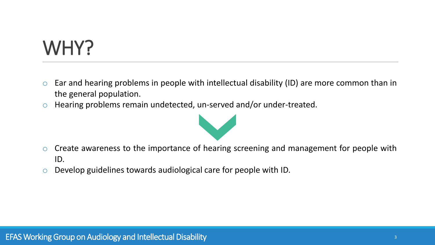## WHY?

- $\circ$  Ear and hearing problems in people with intellectual disability (ID) are more common than in the general population.
- o Hearing problems remain undetected, un-served and/or under-treated.



- $\circ$  Create awareness to the importance of hearing screening and management for people with ID.
- o Develop guidelines towards audiological care for people with ID.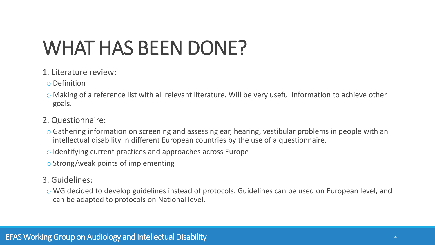# WHAT HAS BEEN DONE?

- 1. Literature review:
- o Definition
- o Making of a reference list with all relevant literature. Will be very useful information to achieve other goals.
- 2. Questionnaire:
	- o Gathering information on screening and assessing ear, hearing, vestibular problems in people with an intellectual disability in different European countries by the use of a questionnaire.
	- o Identifying current practices and approaches across Europe
	- o Strong/weak points of implementing
- 3. Guidelines:
- o WG decided to develop guidelines instead of protocols. Guidelines can be used on European level, and can be adapted to protocols on National level.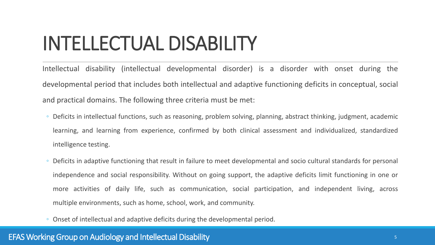### INTELLECTUAL DISABILITY

Intellectual disability (intellectual developmental disorder) is a disorder with onset during the developmental period that includes both intellectual and adaptive functioning deficits in conceptual, social and practical domains. The following three criteria must be met:

- Deficits in intellectual functions, such as reasoning, problem solving, planning, abstract thinking, judgment, academic learning, and learning from experience, confirmed by both clinical assessment and individualized, standardized intelligence testing.
- Deficits in adaptive functioning that result in failure to meet developmental and socio cultural standards for personal independence and social responsibility. Without on going support, the adaptive deficits limit functioning in one or more activities of daily life, such as communication, social participation, and independent living, across multiple environments, such as home, school, work, and community.
- Onset of intellectual and adaptive deficits during the developmental period.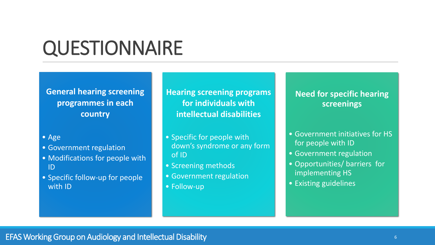### **QUESTIONNAIRE**

**General hearing screening programmes in each country**

#### • Age

- Government regulation
- Modifications for people with ID
- Specific follow-up for people with ID

**Hearing screening programs for individuals with intellectual disabilities**

- Specific for people with down's syndrome or any form of ID
- Screening methods
- Government regulation
- Follow-up

#### **Need for specific hearing screenings**

- Government initiatives for HS for people with ID
- Government regulation
- Opportunities/ barriers for implementing HS
- Existing guidelines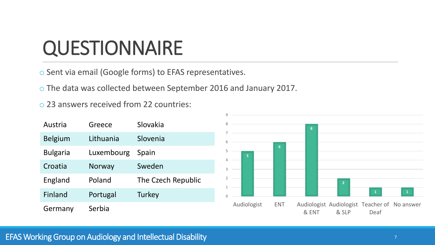### **QUESTIONNAIRE**

o Sent via email (Google forms) to EFAS representatives.

o The data was collected between September 2016 and January 2017.

o 23 answers received from 22 countries:

| Austria         | Greece     | Slovakia           |
|-----------------|------------|--------------------|
| <b>Belgium</b>  | Lithuania  | Slovenia           |
| <b>Bulgaria</b> | Luxembourg | Spain              |
| Croatia         | Norway     | Sweden             |
| England         | Poland     | The Czech Republic |
| Finland         | Portugal   | Turkey             |
| Germany         | Serbia     |                    |



#### EFAS Working Group on Audiology and Intellectual Disability The Communication of The Communication of The Theorem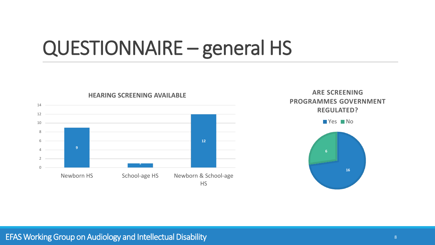### QUESTIONNAIRE – general HS





#### EFAS Working Group on Audiology and Intellectual Disability Australian Communication and Australian Communication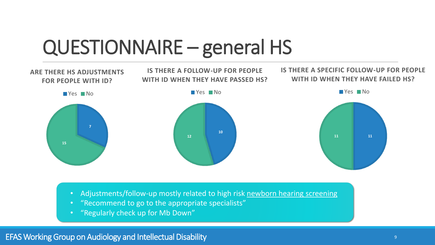### QUESTIONNAIRE – general HS



- Adjustments/follow-up mostly related to high risk newborn hearing screening
- "Recommend to go to the appropriate specialists"
- "Regularly check up for Mb Down"

EFAS Working Group on Audiology and Intellectual Disability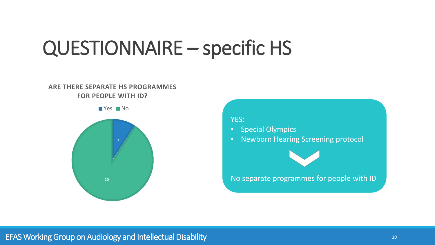### QUESTIONNAIRE – specific HS

#### **ARE THERE SEPARATE HS PROGRAMMES FOR PEOPLE WITH ID?**

**No** 



#### YES:

- Special Olympics
- Newborn Hearing Screening protocol



#### No separate programmes for people with ID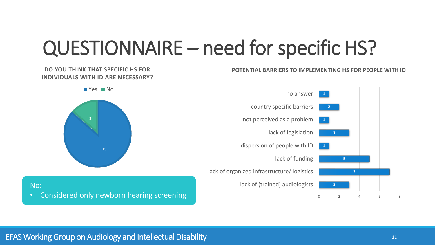### QUESTIONNAIRE – need for specific HS?

#### **POTENTIAL BARRIERS TO IMPLEMENTING HS FOR PEOPLE WITH ID**

#### **DO YOU THINK THAT SPECIFIC HS FOR INDIVIDUALS WITH ID ARE NECESSARY?**





No: • Considered only newborn hearing screening

#### EFAS Working Group on Audiology and Intellectual Disability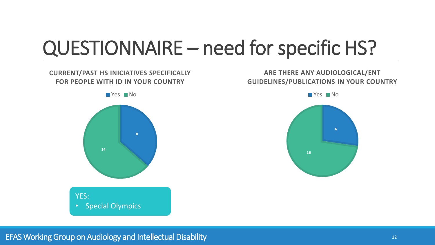### QUESTIONNAIRE – need for specific HS?

#### **CURRENT/PAST HS INICIATIVES SPECIFICALLY FOR PEOPLE WITH ID IN YOUR COUNTRY**

**TYes No** 

**8 14** YES: • Special Olympics

#### **ARE THERE ANY AUDIOLOGICAL/ENT GUIDELINES/PUBLICATIONS IN YOUR COUNTRY**

**No**Yes No

**6**

**16**

EFAS WorkingGroup on Audiology and IntellectualDisability <sup>12</sup>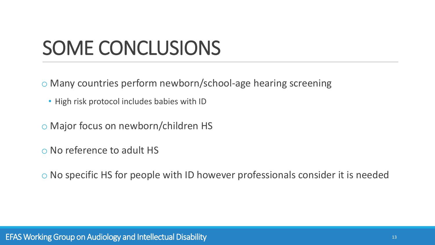### SOME CONCLUSIONS

o Many countries perform newborn/school-age hearing screening

- High risk protocol includes babies with ID
- o Major focus on newborn/children HS
- o No reference to adult HS
- o No specific HS for people with ID however professionals consider it is needed